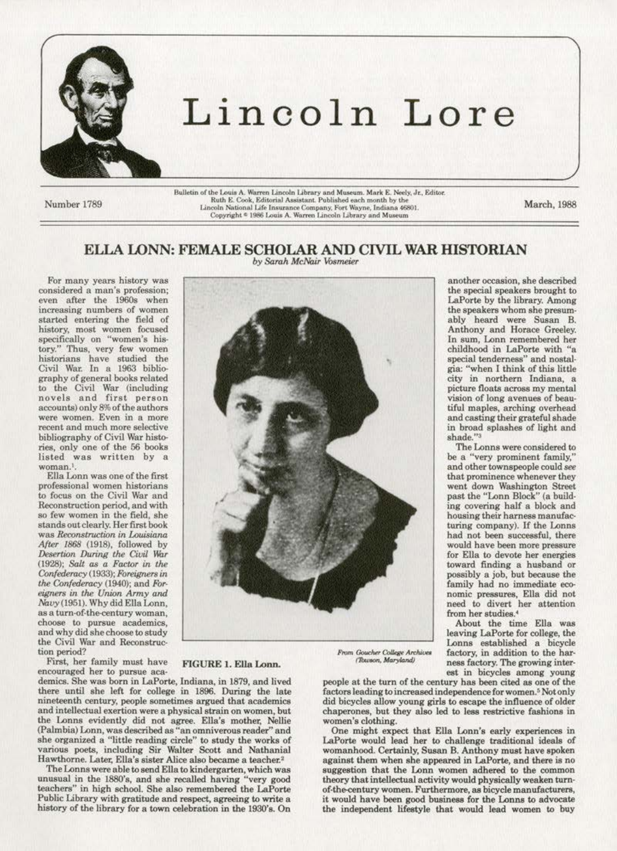

# Lincoln Lore

Number 1789

Bulletin of the Louis A. Warren Lincoln Library and Museum. Mark E. Neely, Jr., Editor. Ruth E. Cook. Editorial Assistant, Published each month by the Lincoln National Life Insurance Company, Fort Wayne, Indiana 46801. Copyright <sup>e</sup> 1986 Louis A. Warren Lincoln Library and Museum

March, 1988

### ELLA LONN: FEMALE SCHOLAR AND CIVIL WAR HISTORIAN by Sarah McNair Vosmeier

For many years history was considered a man's profession: even after the 1960s when increasing numbers of women started entering the field of history, most women focused specifically on "women's history." Thus, very few women historians have studied the<br>Civil War. In a 1963 bibliography of general books related to the Civil War (including<br>novels and first person<br>accounts) only 8% of the authors were women. Even in a more recent and much more selective bibliography of Civil War histories, only one of the 56 books listed was written by a woman.<sup>1</sup>.

Ella Lonn was one of the first professional women historians to focus on the Civil War and Reconstruction period, and with so few women in the field, she stands out clearly. Her first book was Reconstruction in Louisiana After 1868 (1918), followed by Desertion During the Civil War (1928); Salt as a Factor in the Confederacy (1933); Foreigners in the Confederacy (1940); and Foreigners in the Union Army and Navy (1951). Why did Ella Lonn, as a turn-of-the-century woman, choose to pursue academics, and why did she choose to study the Civil War and Reconstruction period?

First, her family must have encouraged her to pursue aca-

demics. She was born in LaPorte, Indiana, in 1879, and lived there until she left for college in 1896. During the late nineteenth century, people sometimes argued that academics and intellectual exertion were a physical strain on women, but the Lonns evidently did not agree. Ella's mother, Nellie (Palmbia) Lonn, was described as "an omniverous reader" and she organized a "little reading circle" to study the works of various poets, including Sir Walter Scott and Nathanial Hawthorne. Later, Ella's sister Alice also became a teacher.<sup>2</sup>

FIGURE 1. Ella Lonn.

The Lonns were able to send Ella to kindergarten, which was unusual in the 1880's, and she recalled having "very good teachers" in high school. She also remembered the LaPorte Public Library with gratitude and respect, agreeing to write a history of the library for a town celebration in the 1930's. On

another occasion, she described the special speakers brought to LaPorte by the library. Among the speakers whom she presumably heard were Susan B. Anthony and Horace Greeley.<br>In sum, Lonn remembered her childhood in LaPorte with "a special tenderness" and nostal-<br>gia: "when I think of this little city in northern Indiana, a picture floats across my mental vision of long avenues of beautiful maples, arching overhead and casting their grateful shade in broad splashes of light and shade."3

The Lonns were considered to be a "very prominent family," and other townspeople could see that prominence whenever they went down Washington Street past the "Lonn Block" (a building covering half a block and housing their harness manufacturing company). If the Lonns had not been successful, there would have been more pressure for Ella to devote her energies toward finding a husband or<br>possibly a job, but because the family had no immediate economic pressures, Ella did not need to divert her attention from her studies.<sup>4</sup>

About the time Ella was leaving LaPorte for college, the Lonns established a bicycle factory, in addition to the harness factory. The growing interest in bicycles among young

From Goucher College Archives (Towson, Maryland)

people at the turn of the century has been cited as one of the factors leading to increased independence for women.<sup>5</sup> Not only did bicycles allow young girls to escape the influence of older chaperones, but they also led to less restrictive fashions in women's clothing.

One might expect that Ella Lonn's early experiences in LaPorte would lead her to challenge traditional ideals of womanhood. Certainly, Susan B. Anthony must have spoken against them when she appeared in LaPorte, and there is no suggestion that the Lonn women adhered to the common theory that intellectual activity would physically weaken turnof-the-century women. Furthermore, as bicycle manufacturers, it would have been good business for the Lonns to advocate the independent lifestyle that would lead women to buy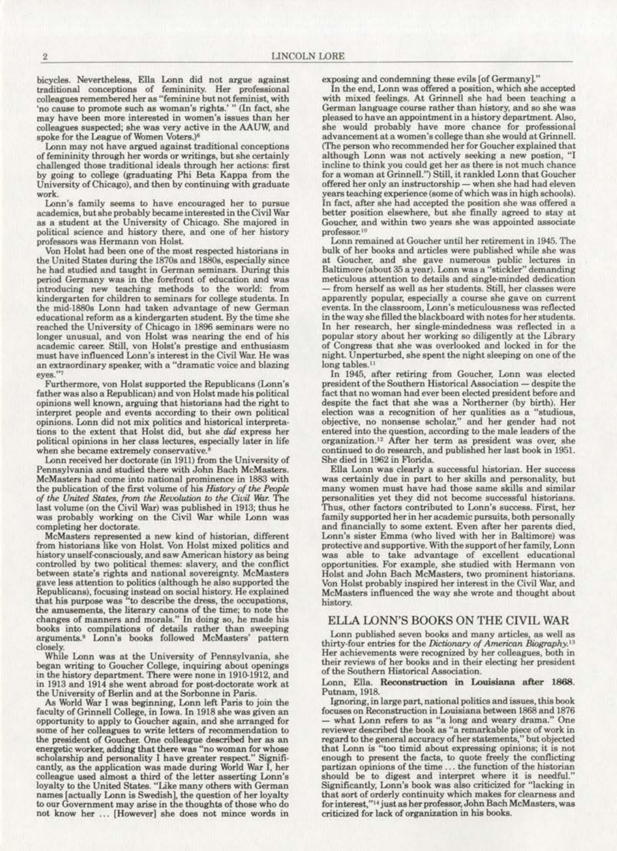bicycles. Nevertheless, Ella Lonn did not argue against **traditional conceptions of femininity. Her professional**  colleagues remembered her as "feminine but not feminist, with 'no cause to promote such as woman's rights.' " (In fact, she **may have been more interested in women's issues than her colleagues suspected; she was very active in the AAUW, and**  spoke for the League of Women Voters.)<sup>6</sup>

Lonn may not have argued against traditional conceptions of femininity through her words or writings, but she certainly challenged those traditional ideals through her actions: first by going to college (graduating Phi Beta Kappa from the University of Chicago), and then by continuing with graduate **work.** 

**Loon's family seems to have encouraged her to pursue**  academics, but she probably became interested in the Civil War as a student at the University of Chicago. She majored in political science and hiatory there, and one of her hiatory **professors was Hermann von Holst.** 

Von Holst had been one of the most respected historians in the United States during the 1870s and 1880s, especially since he had studied and taught in German seminars. During this **period Germany was in lhe forefront of education and was introducing new teaching methods to the world: from kindergarten for children to seminars for college students. In**  the mid-1880s Lonn had taken advantage of new German educational reform as a kindergarten student. By the time she **reached the University of Chicago in 1896 seminars were no longer unusual, and von Holst was nearing the end of his academic career. Still, von Holst's prestige and enthusiasm must have influenced Loon's interest in the Civil War. He was**  an extraordinary speaker, with a "dramatic voice and blazing **eyes."'** 

Furthermore, von Holst supported the Republicans (Lonn's father was also a Republican) and von Holst made his political opinions well known, arguing that historians had the right to **interpret people and events according to their own political**  tions to the extent that Holst did, but she *did* express her **political opinions in her class lectures, especially later in life**  when she became extremely conservative.<sup>8</sup>

Lonn received her doctorate (in 1911) from the University of Pennsylvania and studied there with John Bach McMasters. **McMasters had oome into national prominence in 1883 with**  of the United States, from the Revolution to the Civil War. The last volume (on the Civil War) was published in 1913; thus be was probably working on the Civil War while Lonn was completing her doctorate.

McMasters represented a new kind of historian, different from historians like von Holst. Von Holst mixed politics and **history unself-consciously, and saw American history as being**  controlled by two political themes: slavery, and the conflict **between state's rights and national sovereignty. McMasters**  gave less attention to politics (although he also supported the Republicans), focusing instead on social history. He explained that his purpoee was "to describe the dress, the occupations., **the amusements, the literary canons of the time; to note the changes of manners and morals." ln doing so. he made his**  books into compilations of details rather than sweeping arguments.• Lonn's books followed McMasters' pattern

closely. **While Lonn was at the University of Pennsylvania, she**  began writing to Goucher College, inquiring about openings in the history department. There were none in 1910-1912, and in 1913 and 1914 she went abroad for post-doctorate work at the University of Berlin and at the Sorbonne in Paris.

As World War I was beginning, Lonn left Paris to join the faculty of Grinnell College, in Iowa. In 1918 she was given an opportunity to apply to Goucher again, and she arranged for some of her colleagues to write letters of recommendation to the president of Goucher. One colleague described her as an **energetic worker, adding that there was "no woman for whose scholarship and personality I have greater respect." Signifi**cantly, as the application was made during World War I, her colleague used almost a third of the letter asserting Lonn's loyalty to the United States. "Like many others with German names [actually Lonn is Swedish], the question of her loyalty **to our Government may arise in the thoughts of those who do**  not know her ... [However] she does not mince words in

exposing and condemning these evils [of Germany]."

In the end, Lonn was offered a position, which she accepted with mixed feelings. At Grinnell she had been teaching a German language course rather than history, and so she was **German language course rather than history, and** *so* **she was pleased to have an appointment in a history department. Also,**  she would probably have more chance for professional<br>advancement at a women's college than she would at Grinnell. (The person who recommended her for Goucher explained that **although Lonn was not actively seeking a new postion, "1 incline to think you could get her as there is not much chance**  for a woman at Grinnell.") Still, it rankled Lonn that Goucher **offered her onJy an instructorship- when she had had eleven years teaching experience (some of which was in high schools).**  In fact, after she had accepted the position she was offered a better position elsewhere, but she finally agreed to stay at **Goucher. and within two year& she was appointed associate professor. tO** 

**Lonn remained at Goucher until her retirement in 1945. The**  bulk of her books and articles were published while she was **at. Goucher, and she gave numerous public lectures in**  Baltimore (about 35 a year). Lonn was a "stickler" demanding meticulous attention to details and single-minded dedication -- from herself as well as her students. Still, her classes were apparently popular, especially a course she gave on current. **events. In the classroom, Lonn's meticulousness was reflected**  in the way she filled the blackboard with notes for her students. In her research, her single-mindedness was reflected in a popular story about her working so diligently at the Library of Congress that she was overlooked and locked in for the night. Unperturbed, she spent the night sleeping on one of the long tables.<sup>11</sup>

In 1945, after retiring from Goucher, Lonn was elected president of the Southern Historical Association - despite the **fact that no woman had ever been elected president before and**  despite the fact that she was a Northerner (by birth). Her **election was a recognition of her qualities as a "studious, objective, no nonsense scholar." and her gender had not**  entered into the question, according to the male leaders of the organization.<sup>12</sup> After her term as president was over, she continued to do research, and published her last book in 1951.

She died in 1962 in Florida. was certainly due in part to her skills and personality, but **many women must have had those same skills and similar personalities yet they did not become. successful historians. Thus, other factors contributed to Lonn's success. First, her**  family supported her in her academic pursuits, both peraonally and financially to some extent. Even after her parents died, Lonn's sister Emma (who lived with her in Baltimore) was **Lonn's sister Emma (who lived with her in Baltimore) was** protective and supportive. With the support of her family, Lonn was able to take advantage of excellent educational **opportunities. For example, she studied with Hermann von** Holst and John Bach McMasters, two prominent historians. Von Holst probably inspired her interest in the Civil War, and McMasters influenced the way she wrote and thought about hiatory.

### ELLA LONN'S BOOKS ON THE CIVIL WAR

Lonn published seven books and many articles, as well as thirty-four entries for the Dictionary of American Biography.<sup>13</sup> Her achievements were recognized by her colleagues, both in **their reviews of her books and in their electing her president**  of the Southern Historical Association.

## Lonn, Ella. Reconstruction in Louisiana alter 1868. Putnam, 1918. Ignoring, in large part, national politics and issues, this book

focuses on Reconstruction in Louisiana between 1868 and 1876 - what Lonn refers to as "a long and weary drama." One **reviewer described the book as "a remarkable piece of work in**  regard to the general accuracy of her statements," but objected that Lonn is "too timid about expressing opinions; it is not enough to present the facts, to quote freely the conflicting **partizan opinions of the time** . .. **the function of the historian**  should be to digest and interpret where it is needful." Significantly, Lonn's book was also criticized for '1acking in **that sort of orderly continuity which makea for clearness and**  for interest,"<sup>14</sup> just as her professor, John Bach McMasters, was criticized for lack of organization in his books.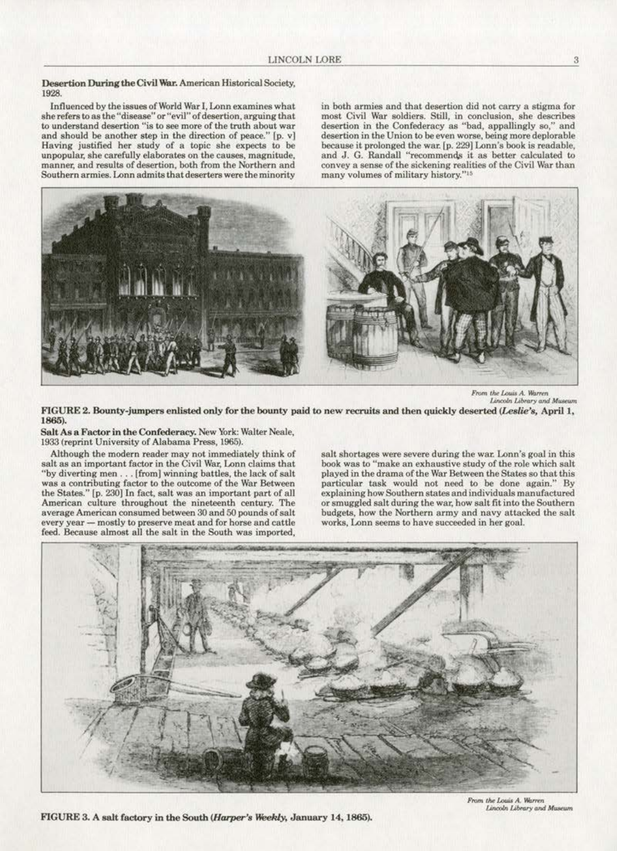Desertion During the Civil War. American Historical Society. 1928.

Influenced by the issues of World War I, Lonn examines what  $s$ he refers to as the "disease" or "evil" of desertion, arguing that **to understand desertion "is to see more of the troth about war**  and should be another step in the direction of peace." [p. vJ Having justified her study of a topic she expects to be **unpopular, she carefully elaborates on the causes., magnitude,**  manner, and results of desertion, both from the Northern and **Southern armies. Lonn admits that deserters were the minority**  in both armies and that desertion did not carry a stigma for most Civil War soldiers. Still, in conclusion, she describes **desertion in the Confederacy as "bad, appallingly so," and**  desertion in the Union to be even worse, being more deplorable because it prolonged the war. [p. 229] Lonn's book is readable. and J. G. Randall "recommends it as better calculated to convey a sense of the sickening realities of the Civil War than many volumes of military history."<sup>15</sup>



*From the Louis A. Warren*<br>Lincoln Library and Museum

FIGURE 2. Bounty-jumpers enlisted only for the bounty paid to new recruits and then quickly deserted (Leslie's, April 1, 1865).

Salt As a Factor in the Confederacy. New York: Walter Neale, 1933 (reprint University of Alabama Press, 1965).

Although the modern reader may not immediately think of salt as an important factor in the Civil War, Lonn claims that "by diverting men . . . [from] winning battles, the lack of salt was a contributing factor to the outcome of the War Between the States." [p. 230] In fact, salt was an important part of all **American culture throughout the nineteenth century. The average American consumed between 30 and 50 pounds of salt every year- mostly to preserve meat and for horse and cattle**  feed. Because almost all the salt in the South was imported. salt shortages were severe during the war. Lonn's goal in this **book was to "make an exhaustive study of tho role which salt**  played in the drama of the War Between the States so that this particular task would not need to be done again." By explaining how Southern states and individuals manufactured or smuggled salt during the war, how salt fit into the Southern budgets, how the Northern army and navy attacked the salt **works, Lonn seems to have succeeded in her goal.** 



FIGURE 3. A salt factory in the South (Harper's Weekly, January 14, 1865).

From the Louis A. Warren **Lincoln Library and Museum**